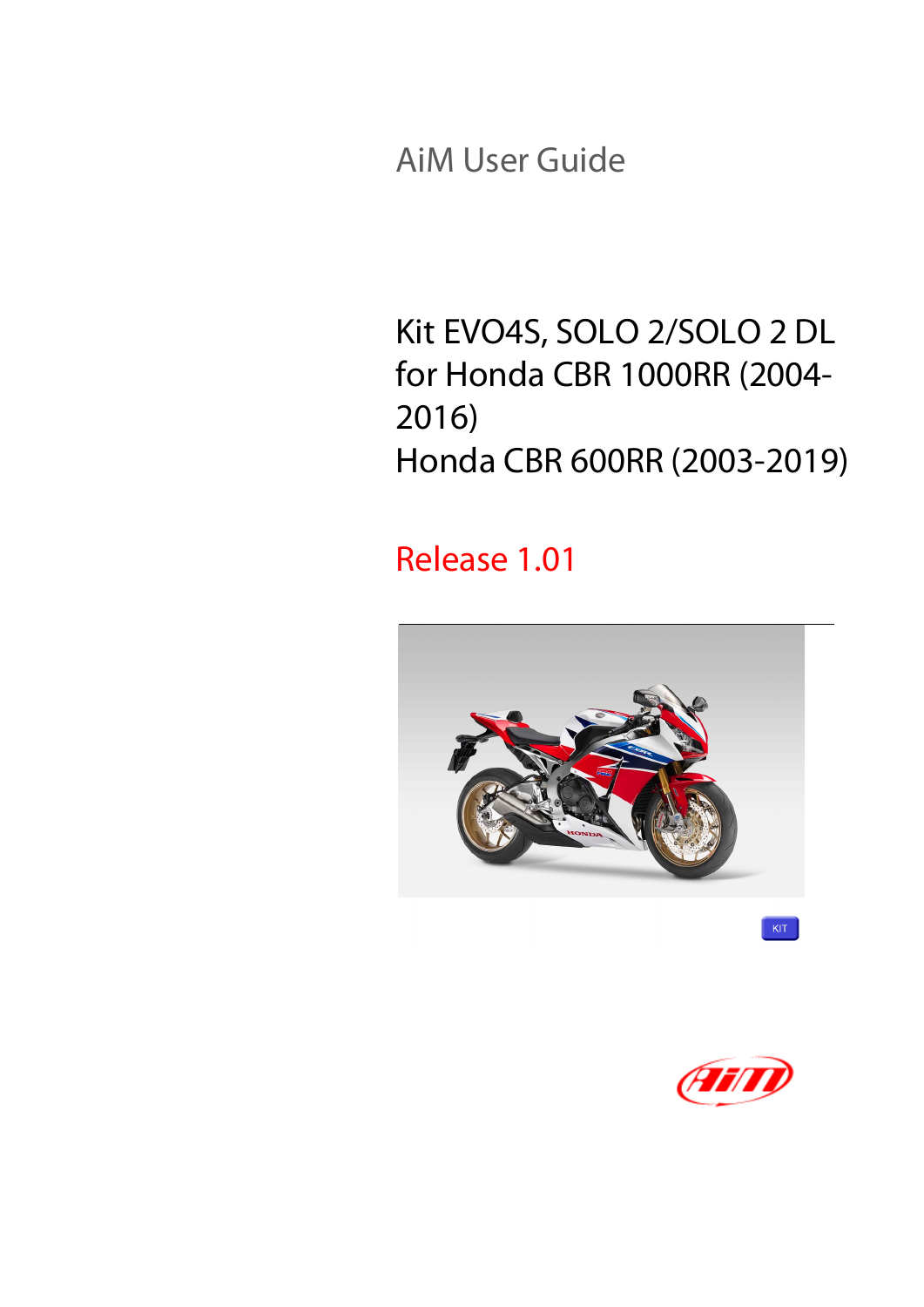AiM User Guide

#### Kit EVO4S, SOLO 2/SOLO 2 DL for Honda CBR 1000RR (2004- 2016) Honda CBR 600RR (2003-2019)

#### Release 1.01



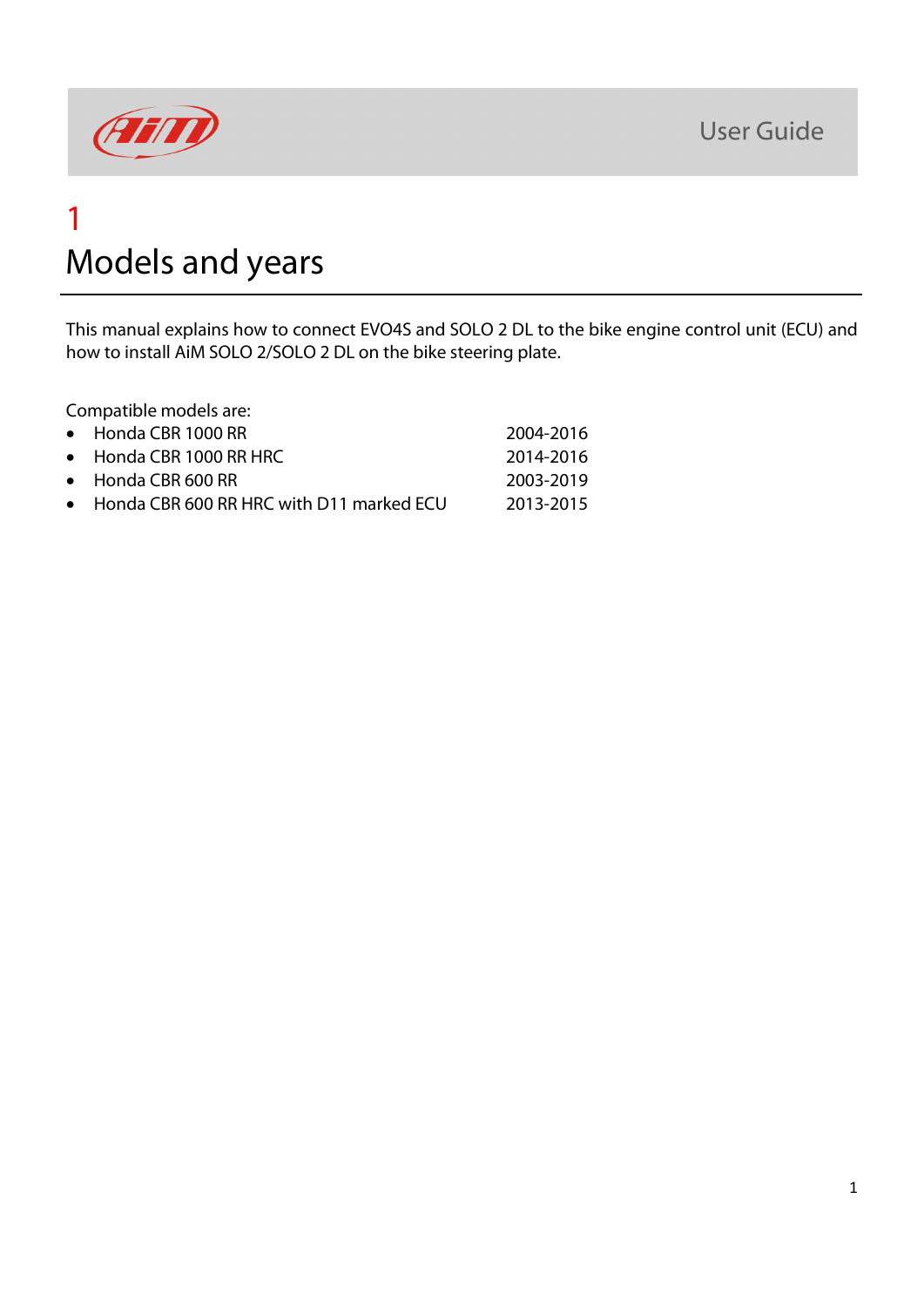

#### 1 Models and years

This manual explains how to connect EVO4S and SOLO 2 DL to the bike engine control unit (ECU) and how to install AiM SOLO 2/SOLO 2 DL on the bike steering plate.

Compatible models are:

| • Honda CBR 1000 RR                        | 2004-2016 |
|--------------------------------------------|-----------|
| $\bullet$ Honda CBR 1000 RR HRC            | 2014-2016 |
| $\bullet$ Honda CBR 600 RR                 | 2003-2019 |
| • Honda CBR 600 RR HRC with D11 marked ECU | 2013-2015 |
|                                            |           |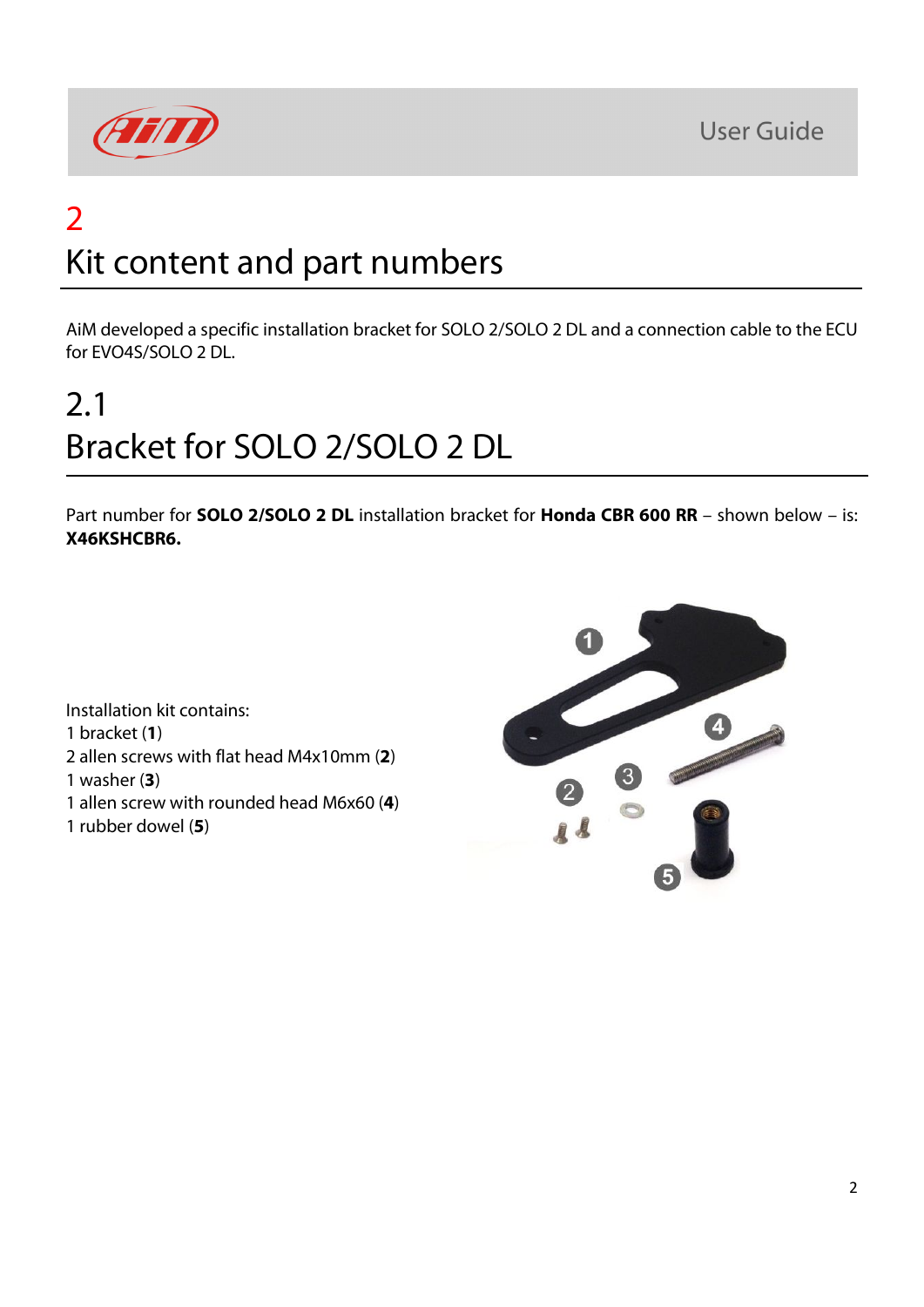**User Guide** 



### 2 Kit content and part numbers

AiM developed a specific installation bracket for SOLO 2/SOLO 2 DL and a connection cable to the ECU for EVO4S/SOLO 2 DL.

# 2.1 Bracket for SOLO 2/SOLO 2 DL

Part number for **SOLO 2/SOLO 2 DL** installation bracket for **Honda CBR 600 RR** – shown below – is: **X46KSHCBR6.**

Installation kit contains: 1 bracket (**1**) 2 allen screws with flat head M4x10mm (**2**) 1 washer (**3**) 1 allen screw with rounded head M6x60 (**4**) 1 rubber dowel (**5**)

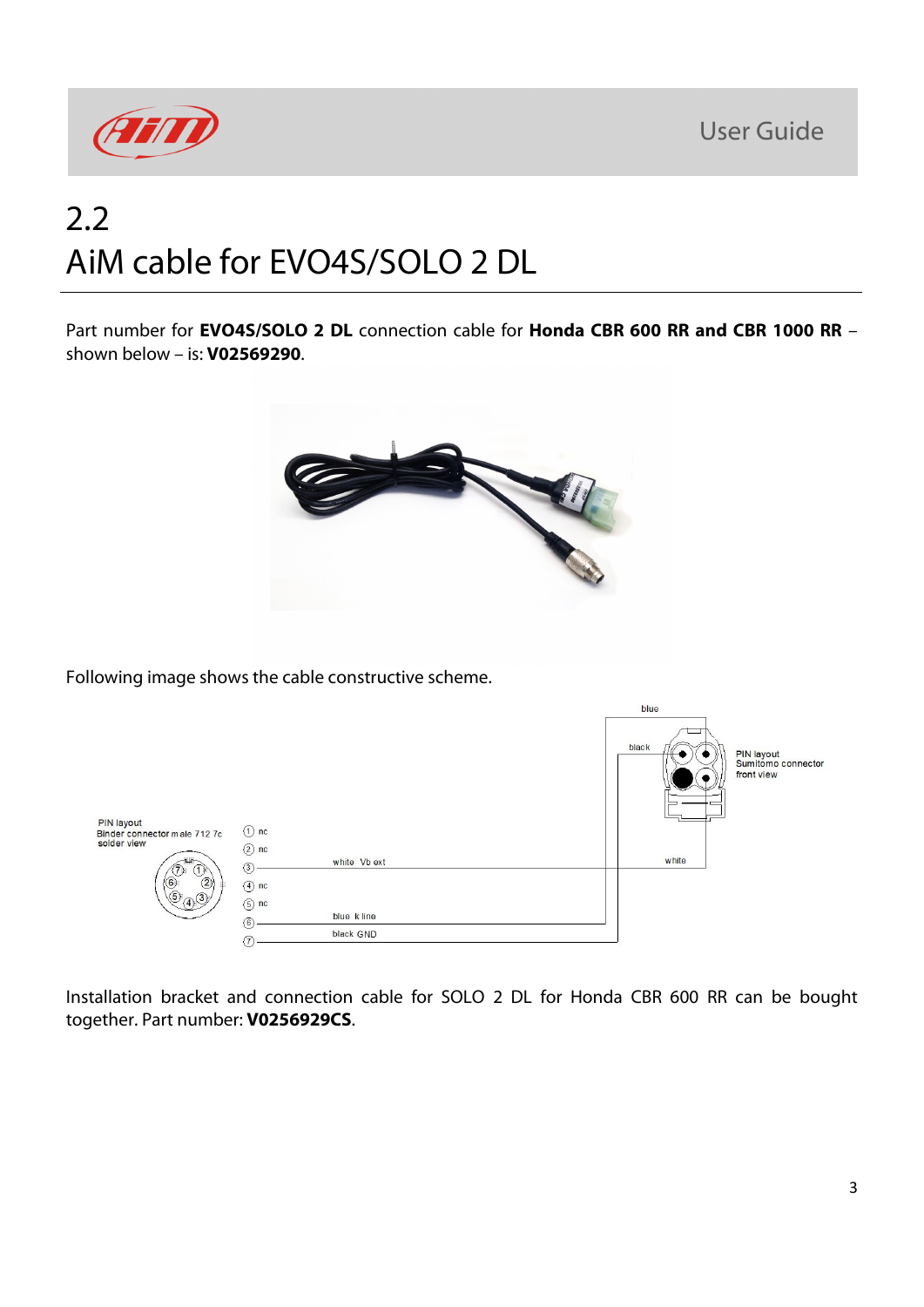**User Guide** 



### 2.2 AiM cable for EVO4S/SOLO 2 DL

Part number for **EVO4S/SOLO 2 DL** connection cable for **Honda CBR 600 RR and CBR 1000 RR** – shown below – is: **V02569290**.



Following image shows the cable constructive scheme.

|                                                   |                                     |                         | blue  |                                                |
|---------------------------------------------------|-------------------------------------|-------------------------|-------|------------------------------------------------|
| <b>PIN layout</b><br>Binder connector male 712 7c | $\circled{1}$ nc                    |                         | black | PIN layout<br>Sumitomo connector<br>front view |
| solder view<br>(0, 2)                             | $(2)$ nc<br>(3)<br>$(4)$ nc         | white Vb ext            | white |                                                |
|                                                   | $(5)$ nc<br>$\circled{6}$<br>$\tau$ | blue kline<br>black GND |       |                                                |

Installation bracket and connection cable for SOLO 2 DL for Honda CBR 600 RR can be bought together. Part number: **V0256929CS**.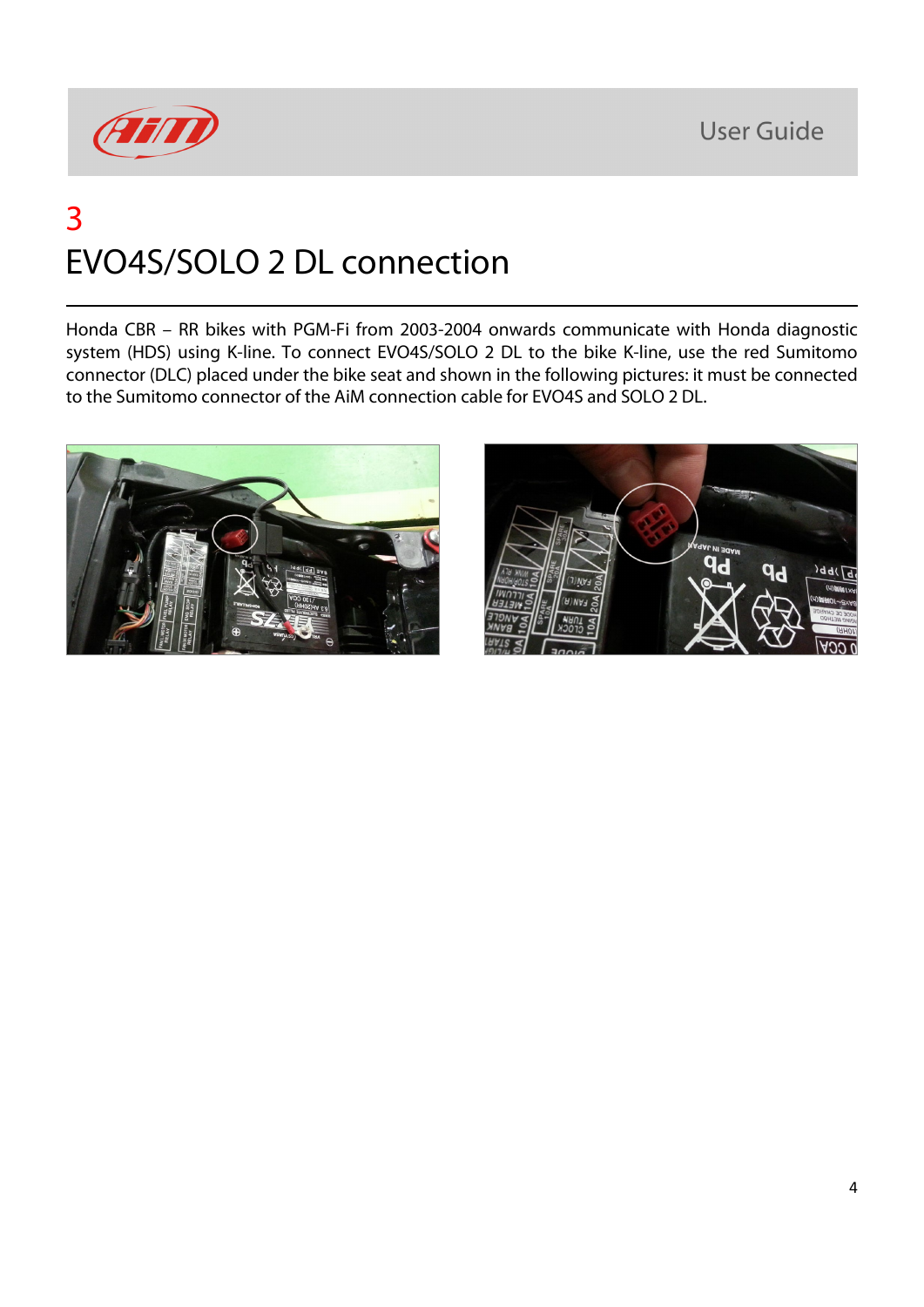**User Guide** 



### 3 EVO4S/SOLO 2 DL connection

Honda CBR – RR bikes with PGM-Fi from 2003-2004 onwards communicate with Honda diagnostic system (HDS) using K-line. To connect EVO4S/SOLO 2 DL to the bike K-line, use the red Sumitomo connector (DLC) placed under the bike seat and shown in the following pictures: it must be connected to the Sumitomo connector of the AiM connection cable for EVO4S and SOLO 2 DL.



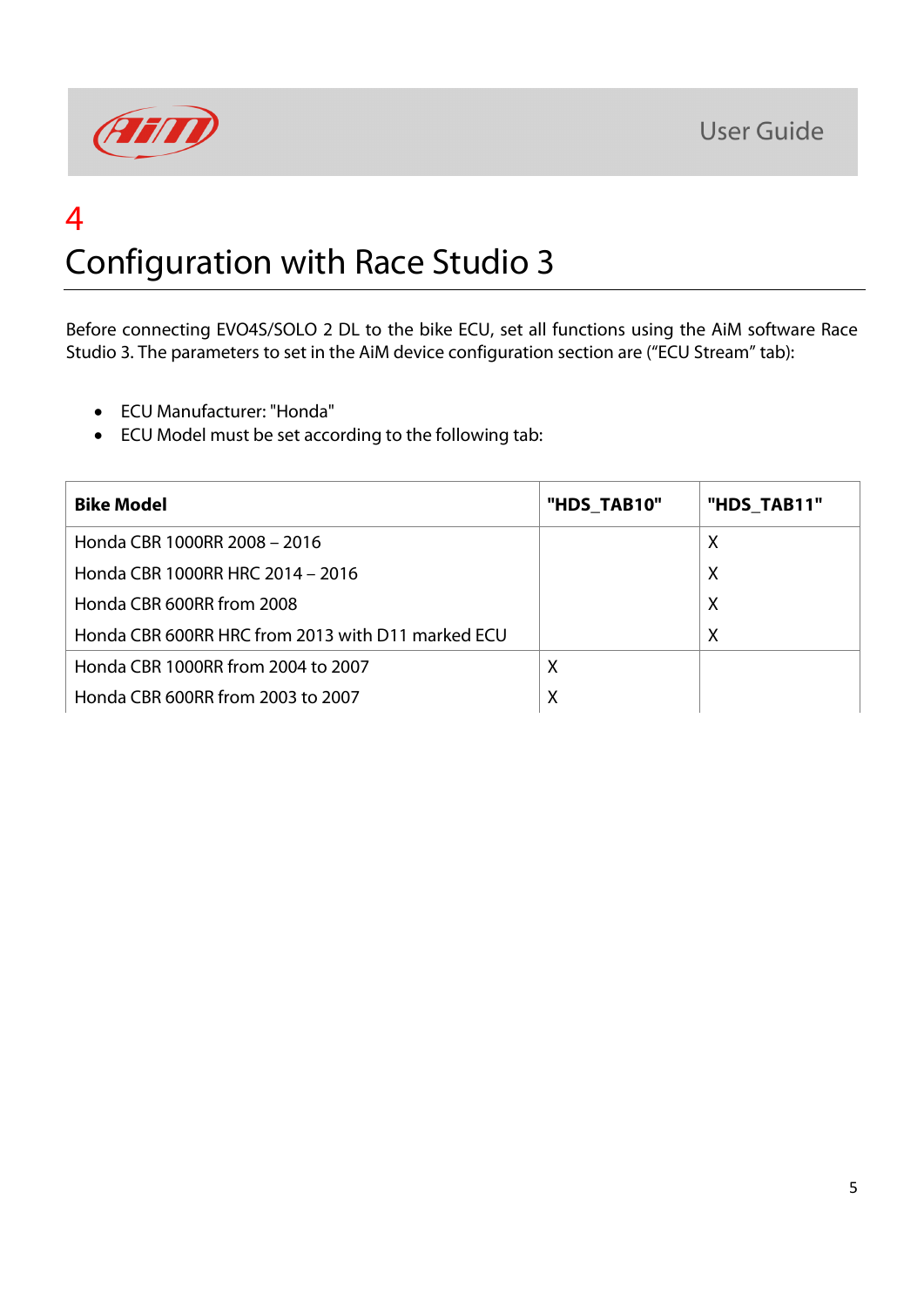

### 4 Configuration with Race Studio 3

Before connecting EVO4S/SOLO 2 DL to the bike ECU, set all functions using the AiM software Race Studio 3. The parameters to set in the AiM device configuration section are ("ECU Stream" tab):

- ECU Manufacturer: "Honda"
- ECU Model must be set according to the following tab:

| <b>Bike Model</b>                                 | "HDS TAB10" | "HDS_TAB11" |
|---------------------------------------------------|-------------|-------------|
| Honda CBR 1000RR 2008 - 2016                      |             | Χ           |
| Honda CBR 1000RR HRC 2014 - 2016                  |             | X           |
| Honda CBR 600RR from 2008                         |             | $\times$    |
| Honda CBR 600RR HRC from 2013 with D11 marked ECU |             | X           |
| Honda CBR 1000RR from 2004 to 2007                | X           |             |
| Honda CBR 600RR from 2003 to 2007                 | $\sf X$     |             |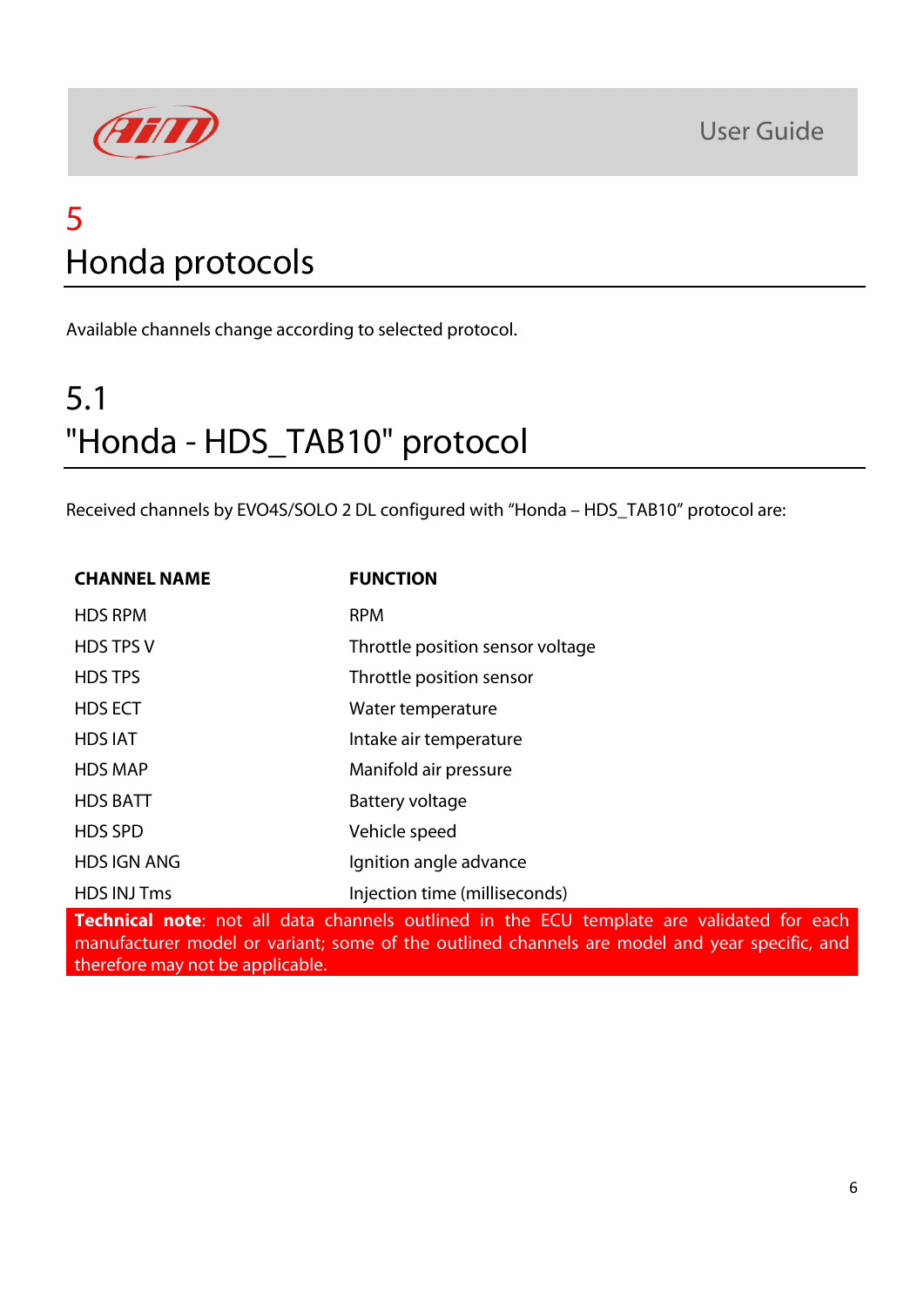

### 5 Honda protocols

Available channels change according to selected protocol.

# 5.1 "Honda - HDS\_TAB10" protocol

Received channels by EVO4S/SOLO 2 DL configured with "Honda – HDS\_TAB10" protocol are:

| <b>CHANNEL NAME</b>                                                                           | <b>FUNCTION</b>                  |  |  |
|-----------------------------------------------------------------------------------------------|----------------------------------|--|--|
| <b>HDS RPM</b>                                                                                | <b>RPM</b>                       |  |  |
| <b>HDS TPS V</b>                                                                              | Throttle position sensor voltage |  |  |
| <b>HDS TPS</b>                                                                                | Throttle position sensor         |  |  |
| <b>HDS ECT</b>                                                                                | Water temperature                |  |  |
| <b>HDS IAT</b>                                                                                | Intake air temperature           |  |  |
| <b>HDS MAP</b>                                                                                | Manifold air pressure            |  |  |
| <b>HDS BATT</b>                                                                               | Battery voltage                  |  |  |
| <b>HDS SPD</b>                                                                                | Vehicle speed                    |  |  |
| <b>HDS IGN ANG</b>                                                                            | Ignition angle advance           |  |  |
| <b>HDS INJ Tms</b>                                                                            | Injection time (milliseconds)    |  |  |
| <b>Tochnical note:</b> not all data channels outlined in the ECU template are validated for a |                                  |  |  |

**Technical note**: not all data channels outlined in the ECU template are validated for each manufacturer model or variant; some of the outlined channels are model and year specific, and therefore may not be applicable.